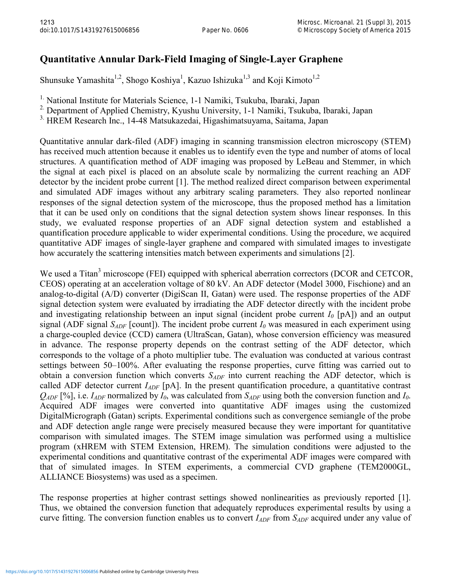## **Quantitative Annular Dark-Field Imaging of Single-Layer Graphene**

Shunsuke Yamashita<sup>1,2</sup>, Shogo Koshiya<sup>1</sup>, Kazuo Ishizuka<sup>1,3</sup> and Koji Kimoto<sup>1,2</sup>

<sup>1.</sup> National Institute for Materials Science, 1-1 Namiki, Tsukuba, Ibaraki, Japan

<sup>2.</sup> Department of Applied Chemistry, Kyushu University, 1-1 Namiki, Tsukuba, Ibaraki, Japan

3. HREM Research Inc., 14-48 Matsukazedai, Higashimatsuyama, Saitama, Japan

Quantitative annular dark-filed (ADF) imaging in scanning transmission electron microscopy (STEM) has received much attention because it enables us to identify even the type and number of atoms of local structures. A quantification method of ADF imaging was proposed by LeBeau and Stemmer, in which the signal at each pixel is placed on an absolute scale by normalizing the current reaching an ADF detector by the incident probe current [1]. The method realized direct comparison between experimental and simulated ADF images without any arbitrary scaling parameters. They also reported nonlinear responses of the signal detection system of the microscope, thus the proposed method has a limitation that it can be used only on conditions that the signal detection system shows linear responses. In this study, we evaluated response properties of an ADF signal detection system and established a quantification procedure applicable to wider experimental conditions. Using the procedure, we acquired quantitative ADF images of single-layer graphene and compared with simulated images to investigate how accurately the scattering intensities match between experiments and simulations [2].

We used a Titan<sup>3</sup> microscope (FEI) equipped with spherical aberration correctors (DCOR and CETCOR, CEOS) operating at an acceleration voltage of 80 kV. An ADF detector (Model 3000, Fischione) and an analog-to-digital (A/D) converter (DigiScan II, Gatan) were used. The response properties of the ADF signal detection system were evaluated by irradiating the ADF detector directly with the incident probe and investigating relationship between an input signal (incident probe current  $I_0$  [pA]) and an output signal (ADF signal  $S_{ADE}$  [count]). The incident probe current  $I_0$  was measured in each experiment using a charge-coupled device (CCD) camera (UltraScan, Gatan), whose conversion efficiency was measured in advance. The response property depends on the contrast setting of the ADF detector, which corresponds to the voltage of a photo multiplier tube. The evaluation was conducted at various contrast settings between 50–100%. After evaluating the response properties, curve fitting was carried out to obtain a conversion function which converts *SADF* into current reaching the ADF detector, which is called ADF detector current *I<sub>ADF</sub>* [pA]. In the present quantification procedure, a quantitative contrast  $Q_{ADE}$  [%], i.e.  $I_{ADE}$  normalized by  $I_0$ , was calculated from  $S_{ADE}$  using both the conversion function and  $I_0$ . Acquired ADF images were converted into quantitative ADF images using the customized DigitalMicrograph (Gatan) scripts. Experimental conditions such as convergence semiangle of the probe and ADF detection angle range were precisely measured because they were important for quantitative comparison with simulated images. The STEM image simulation was performed using a multislice program (xHREM with STEM Extension, HREM). The simulation conditions were adjusted to the experimental conditions and quantitative contrast of the experimental ADF images were compared with that of simulated images. In STEM experiments, a commercial CVD graphene (TEM2000GL, ALLIANCE Biosystems) was used as a specimen.

The response properties at higher contrast settings showed nonlinearities as previously reported [1]. Thus, we obtained the conversion function that adequately reproduces experimental results by using a curve fitting. The conversion function enables us to convert *I<sub>ADF</sub>* from *S<sub>ADF</sub>* acquired under any value of